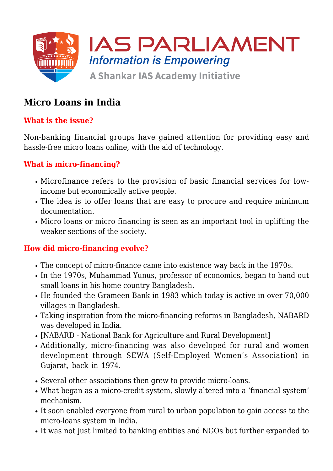

# **Micro Loans in India**

## **What is the issue?**

Non-banking financial groups have gained attention for providing easy and hassle-free micro loans online, with the aid of technology.

### **What is micro-financing?**

- Microfinance refers to the provision of basic financial services for lowincome but economically active people.
- The idea is to offer loans that are easy to procure and require minimum documentation.
- Micro loans or micro financing is seen as an important tool in uplifting the weaker sections of the society.

### **How did micro-financing evolve?**

- The concept of micro-finance came into existence way back in the 1970s.
- In the 1970s, Muhammad Yunus, professor of economics, began to hand out small loans in his home country Bangladesh.
- He founded the Grameen Bank in 1983 which today is active in over 70,000 villages in Bangladesh.
- Taking inspiration from the micro-financing reforms in Bangladesh, NABARD was developed in India.
- [NABARD National Bank for Agriculture and Rural Development]
- Additionally, micro-financing was also developed for rural and women development through SEWA (Self-Employed Women's Association) in Gujarat, back in 1974.
- Several other associations then grew to provide micro-loans.
- What began as a micro-credit system, slowly altered into a 'financial system' mechanism.
- It soon enabled everyone from rural to urban population to gain access to the micro-loans system in India.
- It was not just limited to banking entities and NGOs but further expanded to